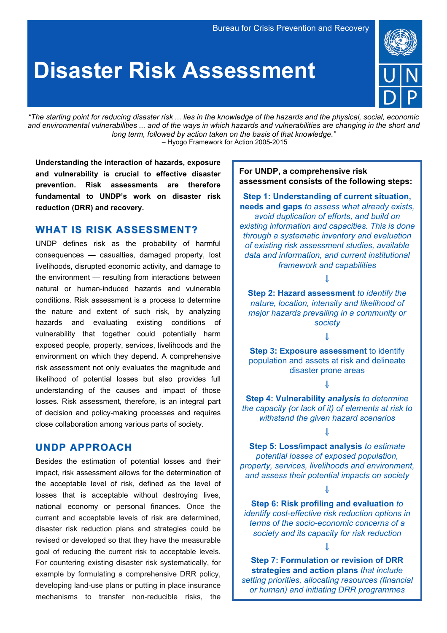# **Disaster Risk Assessment**



*"The starting point for reducing disaster risk ... lies in the knowledge of the hazards and the physical, social, economic and environmental vulnerabilities ... and of the ways in which hazards and vulnerabilities are changing in the short and long term, followed by action taken on the basis of that knowledge*.*"* – Hyogo Framework for Action 2005-2015

**Understanding the interaction of hazards, exposure and vulnerability is crucial to effective disaster prevention. Risk assessments are therefore fundamental to UNDP's work on disaster risk reduction (DRR) and recovery.** 

## **WHAT IS RISK ASSESSMENT?**

UNDP defines risk as the probability of harmful consequences — casualties, damaged property, lost livelihoods, disrupted economic activity, and damage to the environment — resulting from interactions between natural or human-induced hazards and vulnerable conditions. Risk assessment is a process to determine the nature and extent of such risk, by analyzing hazards and evaluating existing conditions of vulnerability that together could potentially harm exposed people, property, services, livelihoods and the environment on which they depend. A comprehensive risk assessment not only evaluates the magnitude and likelihood of potential losses but also provides full understanding of the causes and impact of those losses. Risk assessment, therefore, is an integral part of decision and policy-making processes and requires close collaboration among various parts of society.

### **UNDP APPROACH**

Besides the estimation of potential losses and their impact, risk assessment allows for the determination of the acceptable level of risk, defined as the level of losses that is acceptable without destroying lives, national economy or personal finances. Once the current and acceptable levels of risk are determined, disaster risk reduction plans and strategies could be revised or developed so that they have the measurable goal of reducing the current risk to acceptable levels. For countering existing disaster risk systematically, for example by formulating a comprehensive DRR policy, developing land-use plans or putting in place insurance mechanisms to transfer non-reducible risks, the

## **For UNDP, a comprehensive risk assessment consists of the following steps:**

**Step 1: Understanding of current situation, needs and gaps** *to assess what already exists, avoid duplication of efforts, and build on existing information and capacities. This is done through a systematic inventory and evaluation of existing risk assessment studies, available data and information, and current institutional framework and capabilities*

⇓

**Step 2: Hazard assessment** *to identify the nature, location, intensity and likelihood of major hazards prevailing in a community or society*

!

**Step 3: Exposure assessment to identify** population and assets at risk and delineate disaster prone areas

⇓

**Step 4: Vulnerability** *analysis to determine the capacity (or lack of it) of elements at risk to withstand the given hazard scenarios*

⇓

**Step 5: Loss/impact analysis** *to estimate potential losses of exposed population, property, services, livelihoods and environment, and assess their potential impacts on society*

⇓

**Step 6: Risk profiling and evaluation** *to identify cost-effective risk reduction options in terms of the socio-economic concerns of a society and its capacity for risk reduction*

 $\mathbf{\mathcal{J}}$ 

**Step 7: Formulation or revision of DRR strategies and action plans** *that include setting priorities, allocating resources (financial or human) and initiating DRR programmes*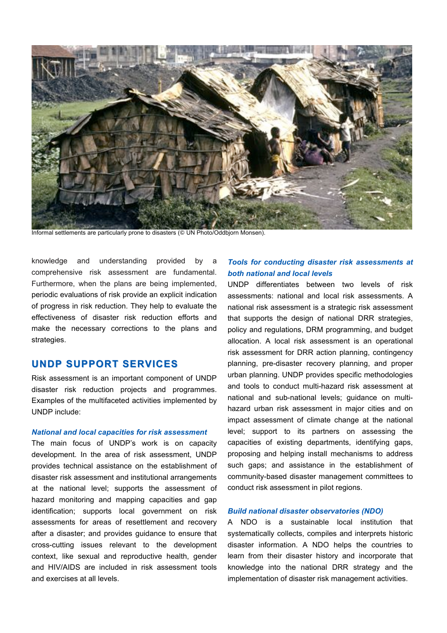

Informal settlements are particularly prone to disasters (© UN Photo/Oddbjorn Monsen).

knowledge and understanding provided by a comprehensive risk assessment are fundamental. Furthermore, when the plans are being implemented, periodic evaluations of risk provide an explicit indication of progress in risk reduction. They help to evaluate the effectiveness of disaster risk reduction efforts and make the necessary corrections to the plans and strategies.

## **UNDP SUPPORT SERVICES**

Risk assessment is an important component of UNDP disaster risk reduction projects and programmes. Examples of the multifaceted activities implemented by UNDP include:

#### *National and local capacities for risk assessment*

The main focus of UNDP's work is on capacity development. In the area of risk assessment, UNDP provides technical assistance on the establishment of disaster risk assessment and institutional arrangements at the national level; supports the assessment of hazard monitoring and mapping capacities and gap identification; supports local government on risk assessments for areas of resettlement and recovery after a disaster; and provides guidance to ensure that cross-cutting issues relevant to the development context, like sexual and reproductive health, gender and HIV/AIDS are included in risk assessment tools and exercises at all levels.

## *Tools for conducting disaster risk assessments at both national and local levels*

UNDP differentiates between two levels of risk assessments: national and local risk assessments. A national risk assessment is a strategic risk assessment that supports the design of national DRR strategies, policy and regulations, DRM programming, and budget allocation. A local risk assessment is an operational risk assessment for DRR action planning, contingency planning, pre-disaster recovery planning, and proper urban planning. UNDP provides specific methodologies and tools to conduct multi-hazard risk assessment at national and sub-national levels; guidance on multihazard urban risk assessment in major cities and on impact assessment of climate change at the national level; support to its partners on assessing the capacities of existing departments, identifying gaps, proposing and helping install mechanisms to address such gaps; and assistance in the establishment of community-based disaster management committees to conduct risk assessment in pilot regions.

#### *Build national disaster observatories (NDO)*

A NDO is a sustainable local institution that systematically collects, compiles and interprets historic disaster information. A NDO helps the countries to learn from their disaster history and incorporate that knowledge into the national DRR strategy and the implementation of disaster risk management activities.